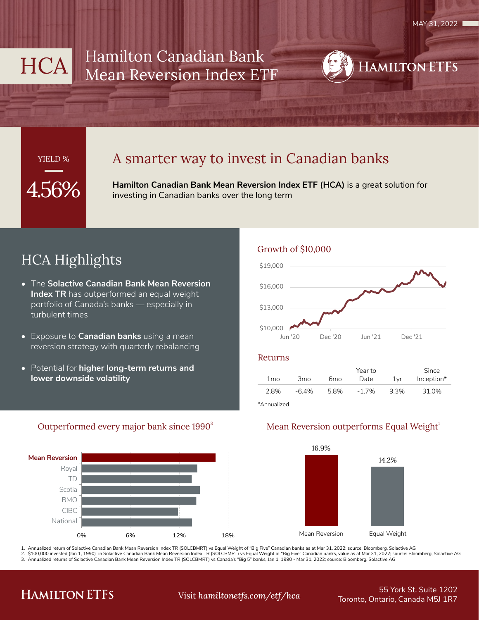# HCA Hamilton Canadian Bank Mean Reversion Index ETF



## YIELD %

## A smarter way to invest in Canadian banks

**Hamilton Canadian Bank Mean Reversion Index ETF (HCA)** is a great solution for investing in Canadian banks over the long term

# HCA Highlights

- The **Solactive Canadian Bank Mean Reversion Index TR** has outperformed an equal weight portfolio of Canada's banks — especially in turbulent times
- Exposure to **Canadian banks** using a mean reversion strategy with quarterly rebalancing
- Potential for **higher long-term returns and lower downside volatility**

## Growth of \$10,000



#### Returns

|      |                 |      | Year to  |      | Since      |
|------|-----------------|------|----------|------|------------|
| 1 mo | 3 <sub>mo</sub> | 6mo  | Date     | 1vr  | Inception* |
| 2.8% | $-6.4%$         | 5.8% | $-1.7\%$ | 9.3% | 31.0%      |
|      |                 |      |          |      |            |

\*Annualized

#### Outperformed every major bank since 1990<sup>3</sup>



## Mean Reversion outperforms Equal Weight<sup>1</sup>



1. Annualized return of Solactive Canadian Bank Mean Reversion Index TR (SOLCBMRT) vs Equal Weight of "Big Five" Canadian banks as at Mar 31, 2022; source: Bloomberg, Solactive AG<br>2. \$100.000 invested (Jan 1. 1990) in Sola \$100,000 invested (Jan 1, 1990) in Solactive Canadian Bank Mean Reversion Index TR (SOLCBMRT) vs Equal Weight of "Big Five" Canadian banks, value as at Mar 31, 2022; source: Bloomberg, Solactive AG

3. Annualized returns of Solactive Canadian Bank Mean Reversion Index TR (SOLCBMRT) vs Canada's "Big 5" banks, Jan 1, 1990 - Mar 31, 2022; source: Bloomberg, Solactive AG

# **HAMILTON ETFS**

## Toronto, Ontario, Canada M5J 1R7 Visit *hamiltonetfs.com/etf/hca*

# 55 York St. Suite 1202